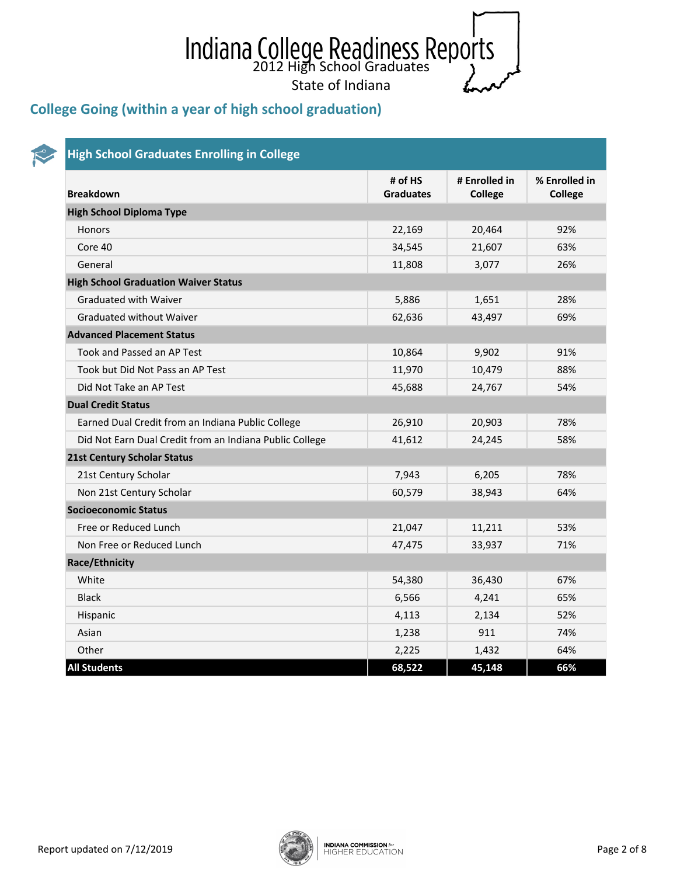State of Indiana

# **College Going (within a year of high school graduation)**

#### **High School Graduates Enrolling in College**

| <b>Breakdown</b>                                        | # of HS<br><b>Graduates</b> | # Enrolled in<br>College | % Enrolled in<br>College |  |  |  |
|---------------------------------------------------------|-----------------------------|--------------------------|--------------------------|--|--|--|
| <b>High School Diploma Type</b>                         |                             |                          |                          |  |  |  |
| <b>Honors</b>                                           | 22,169                      | 20,464                   | 92%                      |  |  |  |
| Core 40                                                 | 34,545                      | 21,607                   | 63%                      |  |  |  |
| General                                                 | 11,808                      | 3,077                    | 26%                      |  |  |  |
| <b>High School Graduation Waiver Status</b>             |                             |                          |                          |  |  |  |
| <b>Graduated with Waiver</b>                            | 5,886                       | 1,651                    | 28%                      |  |  |  |
| Graduated without Waiver                                | 62,636                      | 43,497                   | 69%                      |  |  |  |
| <b>Advanced Placement Status</b>                        |                             |                          |                          |  |  |  |
| Took and Passed an AP Test                              | 10,864                      | 9,902                    | 91%                      |  |  |  |
| Took but Did Not Pass an AP Test                        | 11,970                      | 10,479                   | 88%                      |  |  |  |
| Did Not Take an AP Test                                 | 45,688                      | 24,767                   | 54%                      |  |  |  |
| <b>Dual Credit Status</b>                               |                             |                          |                          |  |  |  |
| Earned Dual Credit from an Indiana Public College       | 26,910                      | 20,903                   | 78%                      |  |  |  |
| Did Not Earn Dual Credit from an Indiana Public College | 41,612                      | 24,245                   | 58%                      |  |  |  |
| <b>21st Century Scholar Status</b>                      |                             |                          |                          |  |  |  |
| 21st Century Scholar                                    | 7,943                       | 6,205                    | 78%                      |  |  |  |
| Non 21st Century Scholar                                | 60,579                      | 38,943                   | 64%                      |  |  |  |
| <b>Socioeconomic Status</b>                             |                             |                          |                          |  |  |  |
| Free or Reduced Lunch                                   | 21,047                      | 11,211                   | 53%                      |  |  |  |
| Non Free or Reduced Lunch                               | 47,475                      | 33,937                   | 71%                      |  |  |  |
| <b>Race/Ethnicity</b>                                   |                             |                          |                          |  |  |  |
| White                                                   | 54,380                      | 36,430                   | 67%                      |  |  |  |
| <b>Black</b>                                            | 6,566                       | 4,241                    | 65%                      |  |  |  |
| Hispanic                                                | 4,113                       | 2,134                    | 52%                      |  |  |  |
| Asian                                                   | 1,238                       | 911                      | 74%                      |  |  |  |
| Other                                                   | 2,225                       | 1,432                    | 64%                      |  |  |  |
| <b>All Students</b>                                     | 68,522                      | 45,148                   | 66%                      |  |  |  |

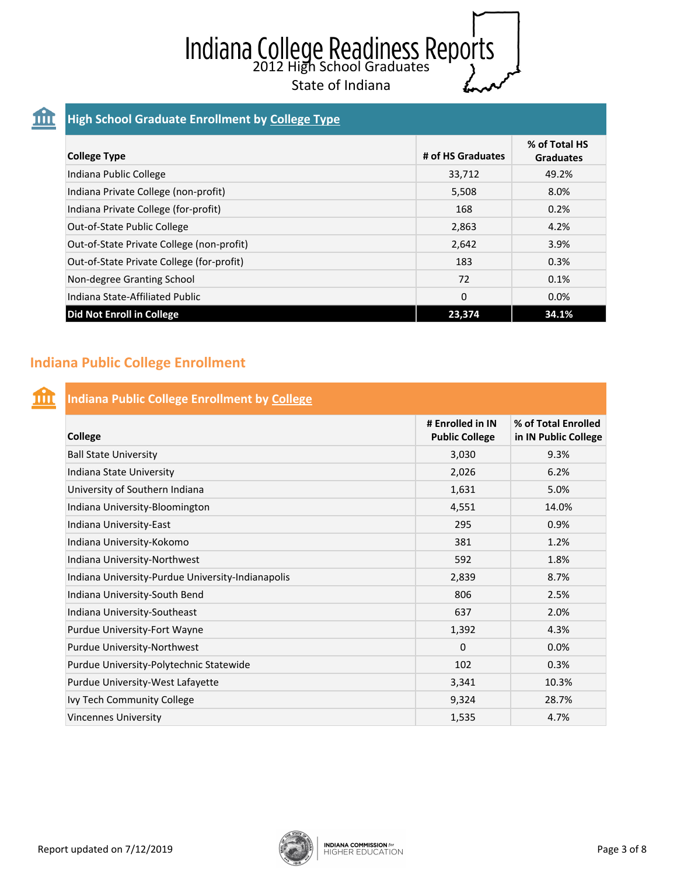State of Indiana

### **High School Graduate Enrollment by College Type**

| <b>College Type</b>                       | # of HS Graduates | % of Total HS<br><b>Graduates</b> |
|-------------------------------------------|-------------------|-----------------------------------|
| Indiana Public College                    | 33,712            | 49.2%                             |
| Indiana Private College (non-profit)      | 5,508             | 8.0%                              |
| Indiana Private College (for-profit)      | 168               | 0.2%                              |
| Out-of-State Public College               | 2,863             | 4.2%                              |
| Out-of-State Private College (non-profit) | 2,642             | 3.9%                              |
| Out-of-State Private College (for-profit) | 183               | 0.3%                              |
| Non-degree Granting School                | 72                | 0.1%                              |
| Indiana State-Affiliated Public           | $\Omega$          | 0.0%                              |
| Did Not Enroll in College                 | 23,374            | 34.1%                             |

# **Indiana Public College Enrollment**

ш

# **Indiana Public College Enrollment by College**

| <b>College</b>                                    | # Enrolled in IN<br><b>Public College</b> | % of Total Enrolled<br>in IN Public College |
|---------------------------------------------------|-------------------------------------------|---------------------------------------------|
| <b>Ball State University</b>                      | 3,030                                     | 9.3%                                        |
| Indiana State University                          | 2,026                                     | 6.2%                                        |
| University of Southern Indiana                    | 1,631                                     | 5.0%                                        |
| Indiana University-Bloomington                    | 4,551                                     | 14.0%                                       |
| Indiana University-East                           | 295                                       | 0.9%                                        |
| Indiana University-Kokomo                         | 381                                       | 1.2%                                        |
| Indiana University-Northwest                      | 592                                       | 1.8%                                        |
| Indiana University-Purdue University-Indianapolis | 2,839                                     | 8.7%                                        |
| Indiana University-South Bend                     | 806                                       | 2.5%                                        |
| Indiana University-Southeast                      | 637                                       | 2.0%                                        |
| Purdue University-Fort Wayne                      | 1,392                                     | 4.3%                                        |
| Purdue University-Northwest                       | $\Omega$                                  | 0.0%                                        |
| Purdue University-Polytechnic Statewide           | 102                                       | 0.3%                                        |
| Purdue University-West Lafayette                  | 3,341                                     | 10.3%                                       |
| Ivy Tech Community College                        | 9,324                                     | 28.7%                                       |
| <b>Vincennes University</b>                       | 1,535                                     | 4.7%                                        |

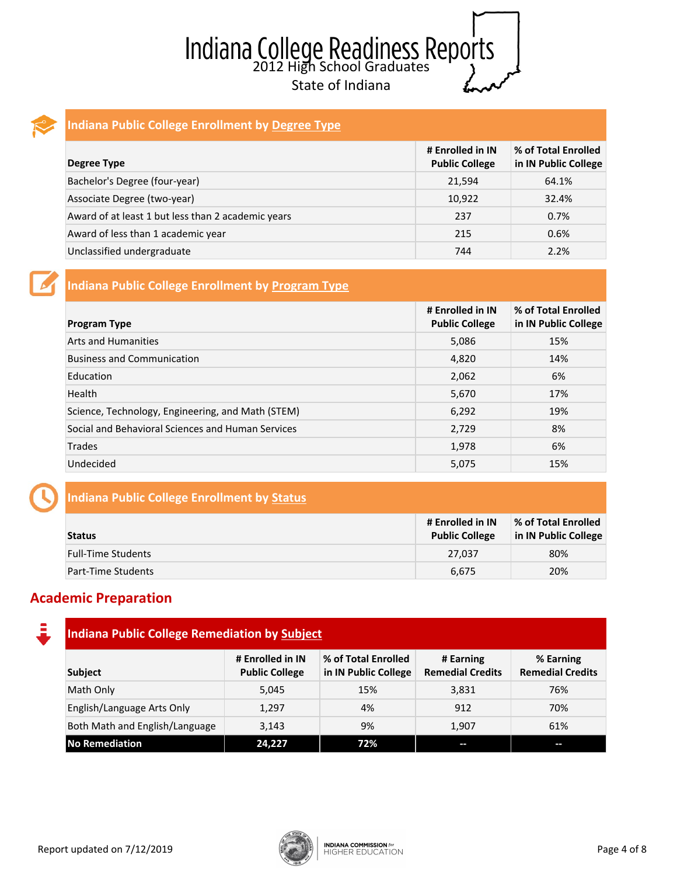State of Indiana



### **Indiana Public College Enrollment by Degree Type**

|                                                    | # Enrolled in IN      | % of Total Enrolled  |
|----------------------------------------------------|-----------------------|----------------------|
| Degree Type                                        | <b>Public College</b> | in IN Public College |
| Bachelor's Degree (four-year)                      | 21,594                | 64.1%                |
| Associate Degree (two-year)                        | 10,922                | 32.4%                |
| Award of at least 1 but less than 2 academic years | 237                   | 0.7%                 |
| Award of less than 1 academic year                 | 215                   | 0.6%                 |
| Unclassified undergraduate                         | 744                   | 2.2%                 |



### **Indiana Public College Enrollment by Program Type**

| <b>Program Type</b>                               | # Enrolled in IN<br><b>Public College</b> | % of Total Enrolled<br>in IN Public College |
|---------------------------------------------------|-------------------------------------------|---------------------------------------------|
| <b>Arts and Humanities</b>                        | 5,086                                     | 15%                                         |
| <b>Business and Communication</b>                 | 4,820                                     | 14%                                         |
| Education                                         | 2,062                                     | 6%                                          |
| <b>Health</b>                                     | 5,670                                     | 17%                                         |
| Science, Technology, Engineering, and Math (STEM) | 6,292                                     | 19%                                         |
| Social and Behavioral Sciences and Human Services | 2,729                                     | 8%                                          |
| Trades                                            | 1,978                                     | 6%                                          |
| Undecided                                         | 5,075                                     | 15%                                         |

#### **Indiana Public College Enrollment by Status**

| <b>Status</b>             | # Enrolled in IN<br><b>Public College</b> | <b>% of Total Enrolled</b><br>in IN Public College |
|---------------------------|-------------------------------------------|----------------------------------------------------|
| <b>Full-Time Students</b> | 27.037                                    | 80%                                                |
| <b>Part-Time Students</b> | 6,675                                     | 20%                                                |

### **Academic Preparation**

| $\mathcal{L}(\mathcal{L})$ |
|----------------------------|
| $\mathcal{L}(\mathcal{L})$ |
|                            |
|                            |
|                            |
|                            |

#### **Indiana Public College Remediation by Subject**

| <b>Subject</b>                 | # Enrolled in IN<br><b>Public College</b> | % of Total Enrolled<br>in IN Public College | # Earning<br><b>Remedial Credits</b> | % Earning<br><b>Remedial Credits</b> |
|--------------------------------|-------------------------------------------|---------------------------------------------|--------------------------------------|--------------------------------------|
| Math Only                      | 5,045                                     | 15%                                         | 3,831                                | 76%                                  |
| English/Language Arts Only     | 1,297                                     | 4%                                          | 912                                  | 70%                                  |
| Both Math and English/Language | 3,143                                     | 9%                                          | 1,907                                | 61%                                  |
| <b>No Remediation</b>          | 24,227                                    | 72%                                         |                                      | . .                                  |

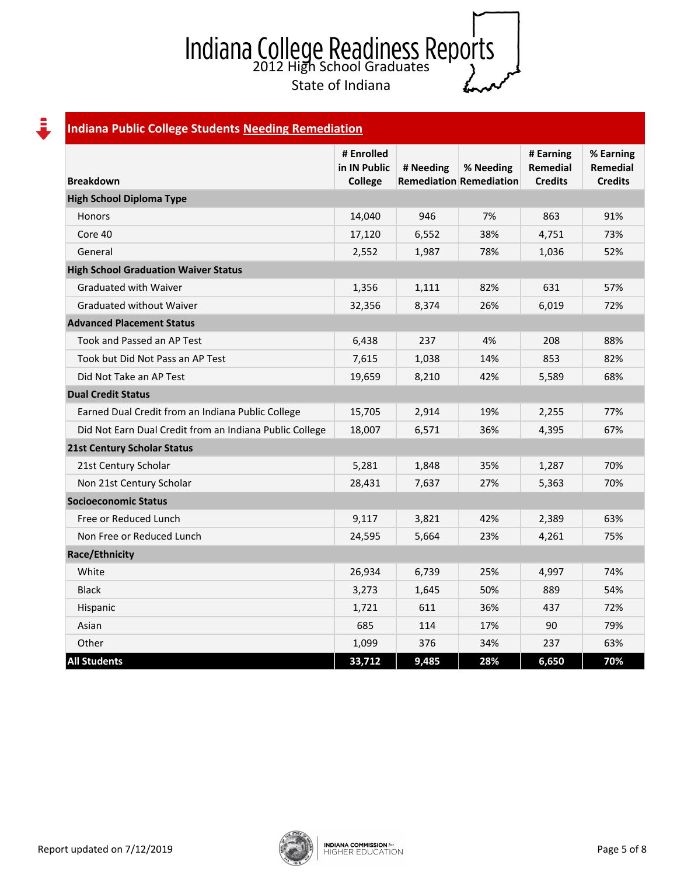State of Indiana

| 살아 있는 것이 없어요. |  |
|---------------|--|
| . .           |  |
|               |  |
|               |  |

#### **Indiana Public College Students Needing Remediation**

| <b>Breakdown</b>                                        | # Enrolled<br>in IN Public<br><b>College</b> | # Needing | % Needing<br><b>Remediation Remediation</b> | # Earning<br><b>Remedial</b><br><b>Credits</b> | % Earning<br><b>Remedial</b><br><b>Credits</b> |
|---------------------------------------------------------|----------------------------------------------|-----------|---------------------------------------------|------------------------------------------------|------------------------------------------------|
| <b>High School Diploma Type</b>                         |                                              |           |                                             |                                                |                                                |
| <b>Honors</b>                                           | 14,040                                       | 946       | 7%                                          | 863                                            | 91%                                            |
| Core 40                                                 | 17,120                                       | 6,552     | 38%                                         | 4,751                                          | 73%                                            |
| General                                                 | 2,552                                        | 1,987     | 78%                                         | 1,036                                          | 52%                                            |
| <b>High School Graduation Waiver Status</b>             |                                              |           |                                             |                                                |                                                |
| Graduated with Waiver                                   | 1,356                                        | 1,111     | 82%                                         | 631                                            | 57%                                            |
| <b>Graduated without Waiver</b>                         | 32,356                                       | 8,374     | 26%                                         | 6,019                                          | 72%                                            |
| <b>Advanced Placement Status</b>                        |                                              |           |                                             |                                                |                                                |
| Took and Passed an AP Test                              | 6,438                                        | 237       | 4%                                          | 208                                            | 88%                                            |
| Took but Did Not Pass an AP Test                        | 7,615                                        | 1,038     | 14%                                         | 853                                            | 82%                                            |
| Did Not Take an AP Test                                 | 19,659                                       | 8,210     | 42%                                         | 5,589                                          | 68%                                            |
| <b>Dual Credit Status</b>                               |                                              |           |                                             |                                                |                                                |
| Earned Dual Credit from an Indiana Public College       | 15,705                                       | 2,914     | 19%                                         | 2,255                                          | 77%                                            |
| Did Not Earn Dual Credit from an Indiana Public College | 18,007                                       | 6,571     | 36%                                         | 4,395                                          | 67%                                            |
| 21st Century Scholar Status                             |                                              |           |                                             |                                                |                                                |
| 21st Century Scholar                                    | 5,281                                        | 1,848     | 35%                                         | 1,287                                          | 70%                                            |
| Non 21st Century Scholar                                | 28,431                                       | 7,637     | 27%                                         | 5,363                                          | 70%                                            |
| <b>Socioeconomic Status</b>                             |                                              |           |                                             |                                                |                                                |
| Free or Reduced Lunch                                   | 9,117                                        | 3,821     | 42%                                         | 2,389                                          | 63%                                            |
| Non Free or Reduced Lunch                               | 24,595                                       | 5,664     | 23%                                         | 4,261                                          | 75%                                            |
| <b>Race/Ethnicity</b>                                   |                                              |           |                                             |                                                |                                                |
| White                                                   | 26,934                                       | 6,739     | 25%                                         | 4,997                                          | 74%                                            |
| <b>Black</b>                                            | 3,273                                        | 1,645     | 50%                                         | 889                                            | 54%                                            |
| Hispanic                                                | 1,721                                        | 611       | 36%                                         | 437                                            | 72%                                            |
| Asian                                                   | 685                                          | 114       | 17%                                         | 90                                             | 79%                                            |
| Other                                                   | 1,099                                        | 376       | 34%                                         | 237                                            | 63%                                            |
| <b>All Students</b>                                     | 33,712                                       | 9,485     | 28%                                         | 6,650                                          | 70%                                            |

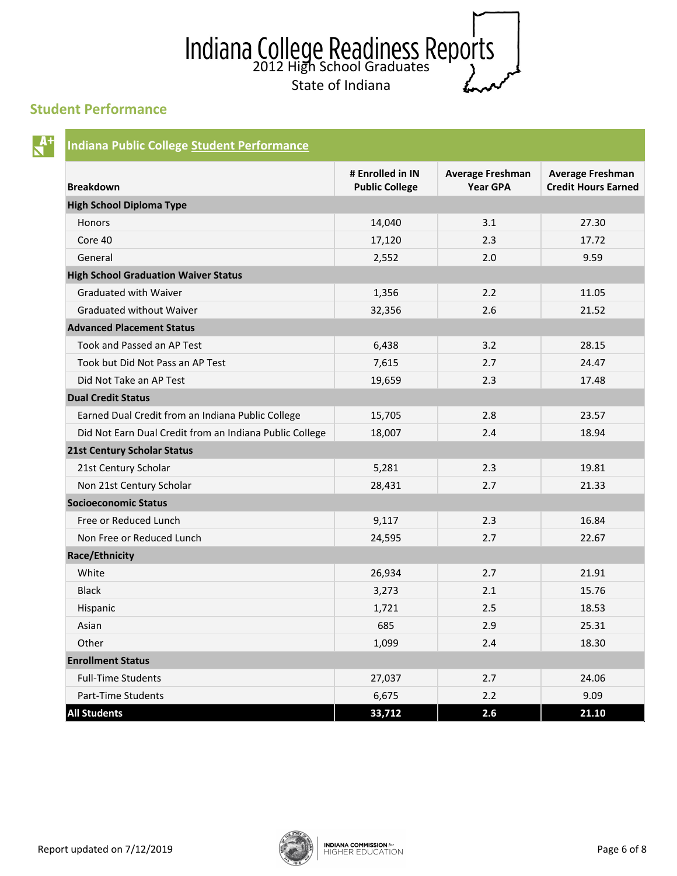State of Indiana

## **Student Performance**

 $\mathbf{A}^+$ 

# **Indiana Public College Student Performance**

| <b>Breakdown</b>                                        | # Enrolled in IN<br><b>Public College</b> | <b>Average Freshman</b><br><b>Year GPA</b> | <b>Average Freshman</b><br><b>Credit Hours Earned</b> |
|---------------------------------------------------------|-------------------------------------------|--------------------------------------------|-------------------------------------------------------|
| <b>High School Diploma Type</b>                         |                                           |                                            |                                                       |
| Honors                                                  | 14,040                                    | 3.1                                        | 27.30                                                 |
| Core 40                                                 | 17,120                                    | 2.3                                        | 17.72                                                 |
| General                                                 | 2,552                                     | 2.0                                        | 9.59                                                  |
| <b>High School Graduation Waiver Status</b>             |                                           |                                            |                                                       |
| <b>Graduated with Waiver</b>                            | 1,356                                     | 2.2                                        | 11.05                                                 |
| Graduated without Waiver                                | 32,356                                    | 2.6                                        | 21.52                                                 |
| <b>Advanced Placement Status</b>                        |                                           |                                            |                                                       |
| Took and Passed an AP Test                              | 6,438                                     | 3.2                                        | 28.15                                                 |
| Took but Did Not Pass an AP Test                        | 7,615                                     | 2.7                                        | 24.47                                                 |
| Did Not Take an AP Test                                 | 19,659                                    | 2.3                                        | 17.48                                                 |
| <b>Dual Credit Status</b>                               |                                           |                                            |                                                       |
| Earned Dual Credit from an Indiana Public College       | 15,705                                    | 2.8                                        | 23.57                                                 |
| Did Not Earn Dual Credit from an Indiana Public College | 18,007                                    | 2.4                                        | 18.94                                                 |
| 21st Century Scholar Status                             |                                           |                                            |                                                       |
| 21st Century Scholar                                    | 5,281                                     | 2.3                                        | 19.81                                                 |
| Non 21st Century Scholar                                | 28,431                                    | 2.7                                        | 21.33                                                 |
| <b>Socioeconomic Status</b>                             |                                           |                                            |                                                       |
| Free or Reduced Lunch                                   | 9,117                                     | 2.3                                        | 16.84                                                 |
| Non Free or Reduced Lunch                               | 24,595                                    | 2.7                                        | 22.67                                                 |
| <b>Race/Ethnicity</b>                                   |                                           |                                            |                                                       |
| White                                                   | 26,934                                    | 2.7                                        | 21.91                                                 |
| <b>Black</b>                                            | 3,273                                     | 2.1                                        | 15.76                                                 |
| Hispanic                                                | 1,721                                     | 2.5                                        | 18.53                                                 |
| Asian                                                   | 685                                       | 2.9                                        | 25.31                                                 |
| Other                                                   | 1,099                                     | 2.4                                        | 18.30                                                 |
| <b>Enrollment Status</b>                                |                                           |                                            |                                                       |
| <b>Full-Time Students</b>                               | 27,037                                    | 2.7                                        | 24.06                                                 |
| Part-Time Students                                      | 6,675                                     | 2.2                                        | 9.09                                                  |
| <b>All Students</b>                                     | 33,712                                    | 2.6                                        | 21.10                                                 |

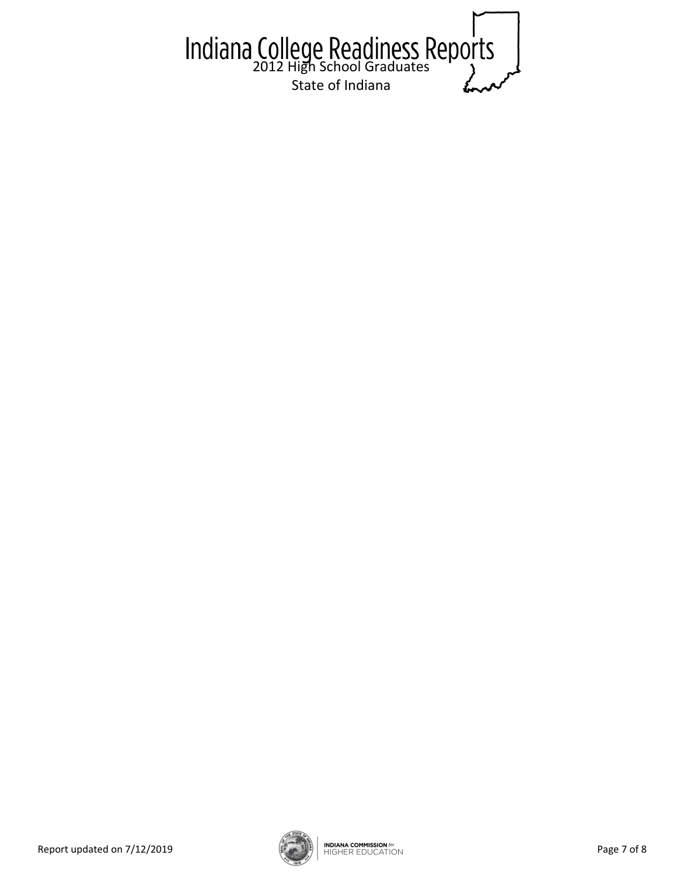